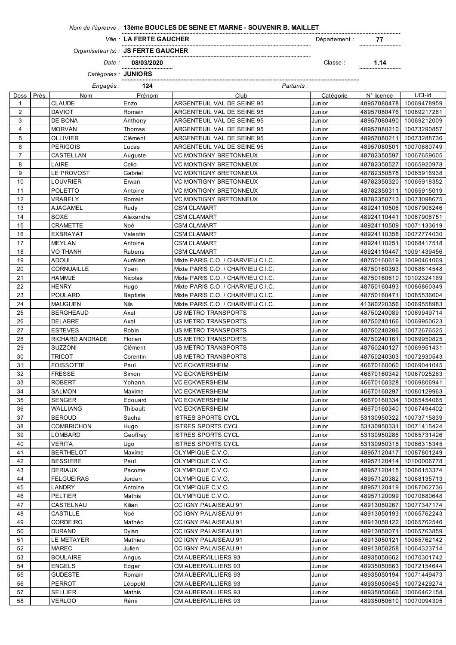## *Nom de l'épreuve :* **13ème BOUCLES DE SEINE ET MARNE - SOUVENIR B. MAILLET**

*Ville :* Département : **77 Ville: LA FERTE GAUCHER** 

*Organisateur (s) :* **JS FERTE GAUCHER**

*Date :* **08/03/2020** Classe : **1.14**

*Catégories :* **JUNIORS**

*Engagés :* **124** *Partants :*

| Doss           | Prés. | Nom                       | Prénom                  | Club                                                             | Catégorie        | N° licence                 | UCI-Id                     |
|----------------|-------|---------------------------|-------------------------|------------------------------------------------------------------|------------------|----------------------------|----------------------------|
| $\mathbf 1$    |       | <b>CLAUDE</b>             | Enzo                    | ARGENTEUIL VAL DE SEINE 95                                       | Junior           | 48957080478                | 10069478959                |
| $\overline{2}$ |       | <b>DAVIOT</b>             | Romain                  | ARGENTEUIL VAL DE SEINE 95                                       | Junior           | 48957080476                | 10069217261                |
| 3              |       | DE BONA                   | Anthony                 | ARGENTEUIL VAL DE SEINE 95                                       | Junior           | 48957080490                | 10069212009                |
| $\overline{4}$ |       | <b>MORVAN</b>             | Thomas                  | ARGENTEUIL VAL DE SEINE 95                                       | Junior           | 48957080210                | 10073290857                |
| 5              |       | <b>OLLIVIER</b>           | Clément                 | ARGENTEUIL VAL DE SEINE 95                                       | Junior           | 48957080211                | 10073288736                |
| 6              |       | <b>PERIGOIS</b>           | Lucas                   | ARGENTEUIL VAL DE SEINE 95                                       | Junior           | 48957080501                | 10070680749                |
| $\overline{7}$ |       | CASTELLAN                 | Auguste                 | <b>VC MONTIGNY BRETONNEUX</b>                                    | Junior           | 48782350597                | 10067659605                |
| 8              |       | LAIRE                     | Celio                   | <b>VC MONTIGNY BRETONNEUX</b>                                    | Junior           | 48782350527                | 10065920978                |
| 9              |       | LE PROVOST                | Gabriel                 | <b>VC MONTIGNY BRETONNEUX</b>                                    | Junior           | 48782350578                | 10065916938                |
| 10             |       | LOUVRIER                  | Erwan                   | <b>VC MONTIGNY BRETONNEUX</b>                                    | Junior           | 48782350320                | 10065918352                |
| 11             |       | <b>POLETTO</b>            | Antoine                 | <b>VC MONTIGNY BRETONNEUX</b>                                    | Junior           | 48782350311                | 10065915019                |
| 12             |       | VRABELY                   | Romain                  | <b>VC MONTIGNY BRETONNEUX</b>                                    | Junior           | 48782350713                | 10073098675                |
| 13             |       | AJAGAMEL                  | Rudy                    | <b>CSM CLAMART</b>                                               | Junior           | 48924110506                | 10067906246                |
| 14             |       | <b>BOXE</b>               | Alexandre               | <b>CSM CLAMART</b>                                               | Junior           | 48924110441                | 10067906751                |
| 15             |       | CRAMETTE                  | Noé                     | <b>CSM CLAMART</b>                                               | Junior           | 48924110509                | 10071133619                |
| 16             |       | EXBRAYAT                  | Valentin                | <b>CSM CLAMART</b>                                               | Junior           | 48924110358                | 10072774030                |
| 17             |       | <b>MEYLAN</b>             | Antoine                 | <b>CSM CLAMART</b>                                               | Junior           | 48924110251                | 10068417518                |
| 18             |       | VO THANH                  | Rubens                  | <b>CSM CLAMART</b>                                               | Junior           | 48924110447                | 10091439456                |
| 19             |       | ADOUI                     | Aurélien                | Mixte PARIS C.O. / CHARVIEU C.I.C.                               | Junior           | 48750160619                | 10090461069                |
| 20             |       | CORNUAILLE                |                         | Mixte PARIS C.O. / CHARVIEU C.I.C.                               |                  | 48750160393                | 10068614548                |
| 21             |       | <b>HAMMJE</b>             | Yoen<br><b>Nicolas</b>  | Mixte PARIS C.O. / CHARVIEU C.I.C.                               | Junior<br>Junior |                            | 10102324169                |
| 22             |       | <b>HENRY</b>              |                         | Mixte PARIS C.O. / CHARVIEU C.I.C.                               | Junior           | 48750160610<br>48750160493 | 10086860349                |
|                |       |                           | Hugo                    |                                                                  |                  |                            |                            |
| 23<br>24       |       | POULARD<br><b>MAUGUEN</b> | <b>Baptiste</b><br>Nils | Mixte PARIS C.O. / CHARVIEU C.I.C.                               | Junior           | 48750160471                | 10085536604                |
| 25             |       | <b>BERGHEAUD</b>          |                         | Mixte PARIS C.O. / CHARVIEU C.I.C.<br><b>US METRO TRANSPORTS</b> | Junior           | 41380220356                | 10069558983                |
| 26             |       |                           | Axel<br>Axel            | US METRO TRANSPORTS                                              | Junior           | 48750240089<br>48750240166 | 10069949714                |
| 27             |       | DELABRE<br><b>ESTEVES</b> | Robin                   | <b>US METRO TRANSPORTS</b>                                       | Junior           |                            | 10069950623                |
| 28             |       | RICHARD ANDRADE           | Florian                 | US METRO TRANSPORTS                                              | Junior<br>Junior | 48750240286                | 10072676525<br>10069950825 |
| 29             |       | <b>SUZZONI</b>            | Clément                 | US METRO TRANSPORTS                                              | Junior           | 48750240161<br>48750240127 | 10069951431                |
| 30             |       | <b>TRICOT</b>             | Corentin                | <b>US METRO TRANSPORTS</b>                                       | Junior           | 48750240303                | 10072930543                |
| 31             |       | <b>FOISSOTTE</b>          | Paul                    | <b>VC ECKWERSHEIM</b>                                            | Junior           | 46670160060                | 10069041045                |
| 32             |       | <b>FRESSE</b>             | Simon                   | <b>VC ECKWERSHEIM</b>                                            | Junior           | 46670160342                | 10067025263                |
| 33             |       | ROBERT                    | Yohann                  | VC ECKWERSHEIM                                                   | Junior           | 46670160328                | 10069806941                |
| 34             |       | SALMON                    | Maxime                  | <b>VC ECKWERSHEIM</b>                                            | Junior           | 46670160297                | 10080129963                |
| 35             |       | <b>SENGER</b>             | Edouard                 | VC ECKWERSHEIM                                                   | Junior           | 46670160334                | 10065454065                |
| 36             |       | WALLIANG                  | Thibault                | <b>VC ECKWERSHEIM</b>                                            | Junior           | 46670160340                | 10067494402                |
| 37             |       | <b>BEROUD</b>             | Sacha                   | <b>ISTRES SPORTS CYCL</b>                                        | Junior           | 53130950322                | 10073715839                |
| 38             |       | COMBRICHON                | Hugo                    | <b>ISTRES SPORTS CYCL</b>                                        | Junior           | 53130950331                | 10071415424                |
| $39\,$         |       | LOMBARD                   | Geoffrey                | <b>ISTRES SPORTS CYCL</b>                                        | Junior           |                            | 53130950286 10065731426    |
| 40             |       | VERITA                    | Ugo                     | <b>ISTRES SPORTS CYCL</b>                                        | Junior           | 53130950318                | 10066315345                |
| 41             |       | <b>BERTHELOT</b>          | Maxime                  | OLYMPIQUE C.V.O.                                                 | Junior           | 48957120417                | 10087801249                |
| 42             |       | <b>BESSIERE</b>           | Paul                    | OLYMPIQUE C.V.O.                                                 | Junior           | 48957120414                | 10100006778                |
| 43             |       | <b>DERIAUX</b>            | Pacome                  | OLYMPIQUE C.V.O.                                                 | Junior           | 48957120415                | 10066153374                |
| 44             |       | <b>FELGUEIRAS</b>         | Jordan                  | OLYMPIQUE C.V.O.                                                 | Junior           | 48957120382                | 10068135713                |
| 45             |       | LANDRY                    | Antoine                 | OLYMPIQUE C.V.O.                                                 | Junior           | 48957120419                | 10087062736                |
| 46             |       | PELTIER                   | Mathis                  | OLYMPIQUE C.V.O.                                                 | Junior           | 48957120099                | 10070680648                |
| 47             |       | CASTELNAU                 | Kilian                  | CC IGNY PALAISEAU 91                                             | Junior           | 48913050267                | 10077347174                |
| 48             |       | CASTILLE                  | Noé                     | CC IGNY PALAISEAU 91                                             | Junior           | 48913050193                | 10065762243                |
| 49             |       | <b>CORDEIRO</b>           | Mathéo                  | CC IGNY PALAISEAU 91                                             | Junior           | 48913050122                | 10065762546                |
| 50             |       | <b>DURAND</b>             | Dylan                   | CC IGNY PALAISEAU 91                                             | Junior           | 48913050071                | 10065763859                |
| 51             |       | LE METAYER                | Mathieu                 | CC IGNY PALAISEAU 91                                             | Junior           | 48913050121                | 10065762142                |
| 52             |       | <b>MAREC</b>              | Julien                  | CC IGNY PALAISEAU 91                                             | Junior           | 48913050258                | 10064323714                |
| 53             |       | <b>BOULAIRE</b>           | Angus                   | CM AUBERVILLIERS 93                                              | Junior           | 48935050662                | 10070301742                |
| 54             |       | <b>ENGELS</b>             | Edgar                   | CM AUBERVILLIERS 93                                              | Junior           | 48935050663                | 10072154644                |
| 55             |       | GUDESTE                   | Romain                  | CM AUBERVILLIERS 93                                              | Junior           | 48935050194                | 10071449473                |
| 56             |       | PERROT                    | Léopold                 | CM AUBERVILLIERS 93                                              | Junior           | 48935050645                | 10072429274                |
| 57             |       | <b>SELLIER</b>            | Mathis                  | CM AUBERVILLIERS 93                                              | Junior           | 48935050666                | 10066462158                |
| 58             |       | VERLOO                    | Rémi                    | CM AUBERVILLIERS 93                                              | Junior           | 48935050610                | 10070094305                |
|                |       |                           |                         |                                                                  |                  |                            |                            |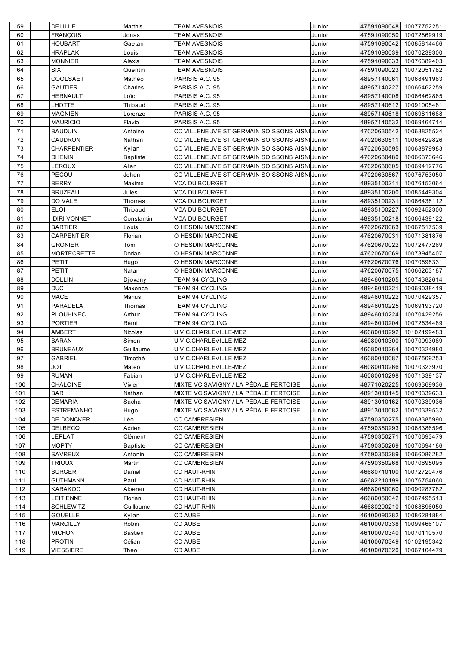| 60<br><b>FRANÇOIS</b><br><b>TEAM AVESNOIS</b><br>Junior<br>Jonas<br>61<br><b>HOUBART</b><br>Gaetan<br><b>TEAM AVESNOIS</b><br>Junior<br>62<br><b>HRAPLAK</b><br><b>TEAM AVESNOIS</b><br>Junior<br>Louis<br>63<br><b>TEAM AVESNOIS</b><br><b>MONNIER</b><br>Alexis<br>Junior<br>64<br><b>SIX</b><br>Quentin<br><b>TEAM AVESNOIS</b><br>Junior<br>65<br><b>COOLSAET</b><br>Mathéo<br>PARISIS A.C. 95<br>Junior<br>66<br><b>GAUTIER</b><br>Charles<br>PARISIS A.C. 95<br>Junior<br>67<br>HERNAULT<br>Loïc<br>PARISIS A.C. 95<br>Junior<br>68<br>LHOTTE<br>Thibaud<br>PARISIS A.C. 95<br>Junior<br>69<br><b>MAGNIEN</b><br>PARISIS A.C. 95<br>Junior<br>Lorenzo<br>70<br><b>MAURICIO</b><br>PARISIS A.C. 95<br>Junior<br>Flavio<br>71<br>CC VILLENEUVE ST GERMAIN SOISSONS AISNI Junior<br><b>BAUDUIN</b><br>Antoine<br>72<br>CC VILLENEUVE ST GERMAIN SOISSONS AISNI Junior<br><b>CAUDRON</b><br>Nathan<br>73<br><b>CHARPENTIER</b><br>CC VILLENEUVE ST GERMAIN SOISSONS AISNI Junior<br>Kylian<br>74<br>CC VILLENEUVE ST GERMAIN SOISSONS AISNI Junior<br><b>DHENIN</b><br><b>Baptiste</b><br>75<br>LEROUX<br>Allan<br>CC VILLENEUVE ST GERMAIN SOISSONS AISNI Junior<br>76<br>PECOU<br>Johan<br>CC VILLENEUVE ST GERMAIN SOISSONS AISNI Junior<br>77<br><b>BERRY</b><br>Maxime<br>VCA DU BOURGET<br>Junior<br>78<br><b>BRUZEAU</b><br>Jules<br>VCA DU BOURGET<br>Junior<br>79<br>DO VALE<br>Thomas<br>VCA DU BOURGET<br>Junior<br>80<br><b>ELOI</b><br>Thibaud<br>VCA DU BOURGET<br>Junior<br>81<br><b>IDIRI VONNET</b><br>Constantin<br><b>VCA DU BOURGET</b><br>Junior<br>82<br><b>BARTIER</b><br>O HESDIN MARCONNE<br>Louis<br>Junior<br>83<br><b>CARPENTIER</b><br>Florian<br>O HESDIN MARCONNE<br>Junior<br>84<br><b>GRONIER</b><br>O HESDIN MARCONNE<br>Tom<br>Junior<br>85<br><b>MORTECRETTE</b><br>Dorian<br>O HESDIN MARCONNE<br>Junior<br>86<br>PETIT<br>O HESDIN MARCONNE<br>Hugo<br>Junior<br>87<br>PETIT<br>Natan<br>O HESDIN MARCONNE<br>Junior<br>88<br><b>DOLLIN</b><br>TEAM 94 CYCLING<br>Junior<br>Djiovany<br><b>DUC</b><br>89<br>Maxence<br><b>TEAM 94 CYCLING</b><br>Junior<br>90<br><b>MACE</b><br>Marius<br><b>TEAM 94 CYCLING</b><br>Junior<br>91<br>PARADELA<br>Thomas<br><b>TEAM 94 CYCLING</b><br>Junior<br>92<br><b>PLOUHINEC</b><br><b>TEAM 94 CYCLING</b><br>Arthur<br>Junior<br>93<br><b>PORTIER</b><br>Rémi<br><b>TEAM 94 CYCLING</b><br>Junior<br>94<br>U.V.C.CHARLEVILLE-MEZ<br><b>AMBERT</b><br>Nicolas<br>Junior<br>95<br><b>BARAN</b><br>Simon<br>U.V.C.CHARLEVILLE-MEZ<br>Junior<br>96<br><b>BRUNEAUX</b><br>Guillaume<br>U.V.C.CHARLEVILLE-MEZ<br>Junior<br>97<br><b>GABRIEL</b><br>U.V.C.CHARLEVILLE-MEZ<br>Timothé<br>Junior<br><b>TOL</b><br>U.V.C.CHARLEVILLE-MEZ<br>Matéo<br>98<br>Junior<br>99<br><b>RUMAN</b><br>Fabian<br>U.V.C.CHARLEVILLE-MEZ<br>Junior<br>100<br>CHALOINE<br>Vivien<br>MIXTE VC SAVIGNY / LA PÉDALE FERTOISE<br>Junior<br>MIXTE VC SAVIGNY / LA PÉDALE FERTOISE<br>101<br><b>BAR</b><br>Nathan<br>Junior<br>102<br><b>DEMARIA</b><br>MIXTE VC SAVIGNY / LA PÉDALE FERTOISE<br>Sacha<br>Junior<br>103<br><b>ESTREMANHO</b><br>MIXTE VC SAVIGNY / LA PÉDALE FERTOISE<br>Junior<br>Hugo<br>104<br>DE DONCKER<br>Léo<br><b>CC CAMBRESIEN</b><br>Junior<br>105<br><b>DELBECQ</b><br><b>CC CAMBRESIEN</b><br>Adrien<br>Junior<br>106<br>LEPLAT<br>Clément<br><b>CC CAMBRESIEN</b><br>Junior<br>107<br><b>MOPTY</b><br><b>CC CAMBRESIEN</b><br><b>Baptiste</b><br>Junior<br>108<br>SAVREUX<br>Antonin<br><b>CC CAMBRESIEN</b><br>Junior<br>109<br><b>TRIOUX</b><br>Martin<br><b>CC CAMBRESIEN</b><br>Junior<br>110<br><b>BURGER</b><br>Daniel<br>CD HAUT-RHIN<br>Junior<br>111<br><b>GUTHMANN</b><br>Paul<br>CD HAUT-RHIN<br>Junior<br>112<br>KARAKOC<br><b>CD HAUT-RHIN</b><br>Alperen<br>Junior<br>113<br><b>LEITIENNE</b><br><b>CD HAUT-RHIN</b><br>Florian<br>Junior<br>114<br><b>SCHLEWITZ</b><br>CD HAUT-RHIN<br>Guillaume<br>Junior<br>115<br><b>GOUELLE</b><br>CD AUBE<br>Kylian<br>Junior<br>CD AUBE<br>116<br><b>MARCILLY</b><br>Robin<br>Junior<br>CD AUBE<br>117<br><b>MICHON</b><br>Bastien<br>Junior<br>Célian<br>CD AUBE<br>118<br><b>PROTIN</b><br>Junior | 59  | DELILLE          | Matthis | <b>TEAM AVESNOIS</b> | Junior | 47591090048 10077752251 |                         |
|-------------------------------------------------------------------------------------------------------------------------------------------------------------------------------------------------------------------------------------------------------------------------------------------------------------------------------------------------------------------------------------------------------------------------------------------------------------------------------------------------------------------------------------------------------------------------------------------------------------------------------------------------------------------------------------------------------------------------------------------------------------------------------------------------------------------------------------------------------------------------------------------------------------------------------------------------------------------------------------------------------------------------------------------------------------------------------------------------------------------------------------------------------------------------------------------------------------------------------------------------------------------------------------------------------------------------------------------------------------------------------------------------------------------------------------------------------------------------------------------------------------------------------------------------------------------------------------------------------------------------------------------------------------------------------------------------------------------------------------------------------------------------------------------------------------------------------------------------------------------------------------------------------------------------------------------------------------------------------------------------------------------------------------------------------------------------------------------------------------------------------------------------------------------------------------------------------------------------------------------------------------------------------------------------------------------------------------------------------------------------------------------------------------------------------------------------------------------------------------------------------------------------------------------------------------------------------------------------------------------------------------------------------------------------------------------------------------------------------------------------------------------------------------------------------------------------------------------------------------------------------------------------------------------------------------------------------------------------------------------------------------------------------------------------------------------------------------------------------------------------------------------------------------------------------------------------------------------------------------------------------------------------------------------------------------------------------------------------------------------------------------------------------------------------------------------------------------------------------------------------------------------------------------------------------------------------------------------------------------------------------------------------------------------------------------------------------------------------------------------------------------------------------------------------------------------------------------------------------------------------------------------------------------------------------------------------------------------------------------------------------------------------------------------------------------------------------------------------------------------------------------|-----|------------------|---------|----------------------|--------|-------------------------|-------------------------|
|                                                                                                                                                                                                                                                                                                                                                                                                                                                                                                                                                                                                                                                                                                                                                                                                                                                                                                                                                                                                                                                                                                                                                                                                                                                                                                                                                                                                                                                                                                                                                                                                                                                                                                                                                                                                                                                                                                                                                                                                                                                                                                                                                                                                                                                                                                                                                                                                                                                                                                                                                                                                                                                                                                                                                                                                                                                                                                                                                                                                                                                                                                                                                                                                                                                                                                                                                                                                                                                                                                                                                                                                                                                                                                                                                                                                                                                                                                                                                                                                                                                                                                                                     |     |                  |         |                      |        | 47591090050             | 10072869919             |
|                                                                                                                                                                                                                                                                                                                                                                                                                                                                                                                                                                                                                                                                                                                                                                                                                                                                                                                                                                                                                                                                                                                                                                                                                                                                                                                                                                                                                                                                                                                                                                                                                                                                                                                                                                                                                                                                                                                                                                                                                                                                                                                                                                                                                                                                                                                                                                                                                                                                                                                                                                                                                                                                                                                                                                                                                                                                                                                                                                                                                                                                                                                                                                                                                                                                                                                                                                                                                                                                                                                                                                                                                                                                                                                                                                                                                                                                                                                                                                                                                                                                                                                                     |     |                  |         |                      |        | 47591090042             | 10085814466             |
|                                                                                                                                                                                                                                                                                                                                                                                                                                                                                                                                                                                                                                                                                                                                                                                                                                                                                                                                                                                                                                                                                                                                                                                                                                                                                                                                                                                                                                                                                                                                                                                                                                                                                                                                                                                                                                                                                                                                                                                                                                                                                                                                                                                                                                                                                                                                                                                                                                                                                                                                                                                                                                                                                                                                                                                                                                                                                                                                                                                                                                                                                                                                                                                                                                                                                                                                                                                                                                                                                                                                                                                                                                                                                                                                                                                                                                                                                                                                                                                                                                                                                                                                     |     |                  |         |                      |        | 47591090039             | 10070239300             |
|                                                                                                                                                                                                                                                                                                                                                                                                                                                                                                                                                                                                                                                                                                                                                                                                                                                                                                                                                                                                                                                                                                                                                                                                                                                                                                                                                                                                                                                                                                                                                                                                                                                                                                                                                                                                                                                                                                                                                                                                                                                                                                                                                                                                                                                                                                                                                                                                                                                                                                                                                                                                                                                                                                                                                                                                                                                                                                                                                                                                                                                                                                                                                                                                                                                                                                                                                                                                                                                                                                                                                                                                                                                                                                                                                                                                                                                                                                                                                                                                                                                                                                                                     |     |                  |         |                      |        | 47591090033             | 10076389403             |
|                                                                                                                                                                                                                                                                                                                                                                                                                                                                                                                                                                                                                                                                                                                                                                                                                                                                                                                                                                                                                                                                                                                                                                                                                                                                                                                                                                                                                                                                                                                                                                                                                                                                                                                                                                                                                                                                                                                                                                                                                                                                                                                                                                                                                                                                                                                                                                                                                                                                                                                                                                                                                                                                                                                                                                                                                                                                                                                                                                                                                                                                                                                                                                                                                                                                                                                                                                                                                                                                                                                                                                                                                                                                                                                                                                                                                                                                                                                                                                                                                                                                                                                                     |     |                  |         |                      |        | 47591090023             | 10072051782             |
|                                                                                                                                                                                                                                                                                                                                                                                                                                                                                                                                                                                                                                                                                                                                                                                                                                                                                                                                                                                                                                                                                                                                                                                                                                                                                                                                                                                                                                                                                                                                                                                                                                                                                                                                                                                                                                                                                                                                                                                                                                                                                                                                                                                                                                                                                                                                                                                                                                                                                                                                                                                                                                                                                                                                                                                                                                                                                                                                                                                                                                                                                                                                                                                                                                                                                                                                                                                                                                                                                                                                                                                                                                                                                                                                                                                                                                                                                                                                                                                                                                                                                                                                     |     |                  |         |                      |        | 48957140061             | 10068491983             |
|                                                                                                                                                                                                                                                                                                                                                                                                                                                                                                                                                                                                                                                                                                                                                                                                                                                                                                                                                                                                                                                                                                                                                                                                                                                                                                                                                                                                                                                                                                                                                                                                                                                                                                                                                                                                                                                                                                                                                                                                                                                                                                                                                                                                                                                                                                                                                                                                                                                                                                                                                                                                                                                                                                                                                                                                                                                                                                                                                                                                                                                                                                                                                                                                                                                                                                                                                                                                                                                                                                                                                                                                                                                                                                                                                                                                                                                                                                                                                                                                                                                                                                                                     |     |                  |         |                      |        | 48957140227             | 10066462259             |
|                                                                                                                                                                                                                                                                                                                                                                                                                                                                                                                                                                                                                                                                                                                                                                                                                                                                                                                                                                                                                                                                                                                                                                                                                                                                                                                                                                                                                                                                                                                                                                                                                                                                                                                                                                                                                                                                                                                                                                                                                                                                                                                                                                                                                                                                                                                                                                                                                                                                                                                                                                                                                                                                                                                                                                                                                                                                                                                                                                                                                                                                                                                                                                                                                                                                                                                                                                                                                                                                                                                                                                                                                                                                                                                                                                                                                                                                                                                                                                                                                                                                                                                                     |     |                  |         |                      |        | 48957140008             | 10066462865             |
|                                                                                                                                                                                                                                                                                                                                                                                                                                                                                                                                                                                                                                                                                                                                                                                                                                                                                                                                                                                                                                                                                                                                                                                                                                                                                                                                                                                                                                                                                                                                                                                                                                                                                                                                                                                                                                                                                                                                                                                                                                                                                                                                                                                                                                                                                                                                                                                                                                                                                                                                                                                                                                                                                                                                                                                                                                                                                                                                                                                                                                                                                                                                                                                                                                                                                                                                                                                                                                                                                                                                                                                                                                                                                                                                                                                                                                                                                                                                                                                                                                                                                                                                     |     |                  |         |                      |        | 48957140612             | 10091005481             |
|                                                                                                                                                                                                                                                                                                                                                                                                                                                                                                                                                                                                                                                                                                                                                                                                                                                                                                                                                                                                                                                                                                                                                                                                                                                                                                                                                                                                                                                                                                                                                                                                                                                                                                                                                                                                                                                                                                                                                                                                                                                                                                                                                                                                                                                                                                                                                                                                                                                                                                                                                                                                                                                                                                                                                                                                                                                                                                                                                                                                                                                                                                                                                                                                                                                                                                                                                                                                                                                                                                                                                                                                                                                                                                                                                                                                                                                                                                                                                                                                                                                                                                                                     |     |                  |         |                      |        | 48957140618             | 10069811688             |
|                                                                                                                                                                                                                                                                                                                                                                                                                                                                                                                                                                                                                                                                                                                                                                                                                                                                                                                                                                                                                                                                                                                                                                                                                                                                                                                                                                                                                                                                                                                                                                                                                                                                                                                                                                                                                                                                                                                                                                                                                                                                                                                                                                                                                                                                                                                                                                                                                                                                                                                                                                                                                                                                                                                                                                                                                                                                                                                                                                                                                                                                                                                                                                                                                                                                                                                                                                                                                                                                                                                                                                                                                                                                                                                                                                                                                                                                                                                                                                                                                                                                                                                                     |     |                  |         |                      |        | 48957140532             | 10069464714             |
|                                                                                                                                                                                                                                                                                                                                                                                                                                                                                                                                                                                                                                                                                                                                                                                                                                                                                                                                                                                                                                                                                                                                                                                                                                                                                                                                                                                                                                                                                                                                                                                                                                                                                                                                                                                                                                                                                                                                                                                                                                                                                                                                                                                                                                                                                                                                                                                                                                                                                                                                                                                                                                                                                                                                                                                                                                                                                                                                                                                                                                                                                                                                                                                                                                                                                                                                                                                                                                                                                                                                                                                                                                                                                                                                                                                                                                                                                                                                                                                                                                                                                                                                     |     |                  |         |                      |        | 47020630542             | 10068825524             |
|                                                                                                                                                                                                                                                                                                                                                                                                                                                                                                                                                                                                                                                                                                                                                                                                                                                                                                                                                                                                                                                                                                                                                                                                                                                                                                                                                                                                                                                                                                                                                                                                                                                                                                                                                                                                                                                                                                                                                                                                                                                                                                                                                                                                                                                                                                                                                                                                                                                                                                                                                                                                                                                                                                                                                                                                                                                                                                                                                                                                                                                                                                                                                                                                                                                                                                                                                                                                                                                                                                                                                                                                                                                                                                                                                                                                                                                                                                                                                                                                                                                                                                                                     |     |                  |         |                      |        | 47020630511             | 10066429826             |
|                                                                                                                                                                                                                                                                                                                                                                                                                                                                                                                                                                                                                                                                                                                                                                                                                                                                                                                                                                                                                                                                                                                                                                                                                                                                                                                                                                                                                                                                                                                                                                                                                                                                                                                                                                                                                                                                                                                                                                                                                                                                                                                                                                                                                                                                                                                                                                                                                                                                                                                                                                                                                                                                                                                                                                                                                                                                                                                                                                                                                                                                                                                                                                                                                                                                                                                                                                                                                                                                                                                                                                                                                                                                                                                                                                                                                                                                                                                                                                                                                                                                                                                                     |     |                  |         |                      |        | 47020630595             | 10068879983             |
|                                                                                                                                                                                                                                                                                                                                                                                                                                                                                                                                                                                                                                                                                                                                                                                                                                                                                                                                                                                                                                                                                                                                                                                                                                                                                                                                                                                                                                                                                                                                                                                                                                                                                                                                                                                                                                                                                                                                                                                                                                                                                                                                                                                                                                                                                                                                                                                                                                                                                                                                                                                                                                                                                                                                                                                                                                                                                                                                                                                                                                                                                                                                                                                                                                                                                                                                                                                                                                                                                                                                                                                                                                                                                                                                                                                                                                                                                                                                                                                                                                                                                                                                     |     |                  |         |                      |        | 47020630480             | 10066373646             |
|                                                                                                                                                                                                                                                                                                                                                                                                                                                                                                                                                                                                                                                                                                                                                                                                                                                                                                                                                                                                                                                                                                                                                                                                                                                                                                                                                                                                                                                                                                                                                                                                                                                                                                                                                                                                                                                                                                                                                                                                                                                                                                                                                                                                                                                                                                                                                                                                                                                                                                                                                                                                                                                                                                                                                                                                                                                                                                                                                                                                                                                                                                                                                                                                                                                                                                                                                                                                                                                                                                                                                                                                                                                                                                                                                                                                                                                                                                                                                                                                                                                                                                                                     |     |                  |         |                      |        | 47020630605             | 10069412776             |
|                                                                                                                                                                                                                                                                                                                                                                                                                                                                                                                                                                                                                                                                                                                                                                                                                                                                                                                                                                                                                                                                                                                                                                                                                                                                                                                                                                                                                                                                                                                                                                                                                                                                                                                                                                                                                                                                                                                                                                                                                                                                                                                                                                                                                                                                                                                                                                                                                                                                                                                                                                                                                                                                                                                                                                                                                                                                                                                                                                                                                                                                                                                                                                                                                                                                                                                                                                                                                                                                                                                                                                                                                                                                                                                                                                                                                                                                                                                                                                                                                                                                                                                                     |     |                  |         |                      |        | 47020630567             | 10076753050             |
|                                                                                                                                                                                                                                                                                                                                                                                                                                                                                                                                                                                                                                                                                                                                                                                                                                                                                                                                                                                                                                                                                                                                                                                                                                                                                                                                                                                                                                                                                                                                                                                                                                                                                                                                                                                                                                                                                                                                                                                                                                                                                                                                                                                                                                                                                                                                                                                                                                                                                                                                                                                                                                                                                                                                                                                                                                                                                                                                                                                                                                                                                                                                                                                                                                                                                                                                                                                                                                                                                                                                                                                                                                                                                                                                                                                                                                                                                                                                                                                                                                                                                                                                     |     |                  |         |                      |        | 48935100211             | 10076153064             |
|                                                                                                                                                                                                                                                                                                                                                                                                                                                                                                                                                                                                                                                                                                                                                                                                                                                                                                                                                                                                                                                                                                                                                                                                                                                                                                                                                                                                                                                                                                                                                                                                                                                                                                                                                                                                                                                                                                                                                                                                                                                                                                                                                                                                                                                                                                                                                                                                                                                                                                                                                                                                                                                                                                                                                                                                                                                                                                                                                                                                                                                                                                                                                                                                                                                                                                                                                                                                                                                                                                                                                                                                                                                                                                                                                                                                                                                                                                                                                                                                                                                                                                                                     |     |                  |         |                      |        | 48935100200             | 10085449304             |
|                                                                                                                                                                                                                                                                                                                                                                                                                                                                                                                                                                                                                                                                                                                                                                                                                                                                                                                                                                                                                                                                                                                                                                                                                                                                                                                                                                                                                                                                                                                                                                                                                                                                                                                                                                                                                                                                                                                                                                                                                                                                                                                                                                                                                                                                                                                                                                                                                                                                                                                                                                                                                                                                                                                                                                                                                                                                                                                                                                                                                                                                                                                                                                                                                                                                                                                                                                                                                                                                                                                                                                                                                                                                                                                                                                                                                                                                                                                                                                                                                                                                                                                                     |     |                  |         |                      |        | 48935100231             | 10066438112             |
|                                                                                                                                                                                                                                                                                                                                                                                                                                                                                                                                                                                                                                                                                                                                                                                                                                                                                                                                                                                                                                                                                                                                                                                                                                                                                                                                                                                                                                                                                                                                                                                                                                                                                                                                                                                                                                                                                                                                                                                                                                                                                                                                                                                                                                                                                                                                                                                                                                                                                                                                                                                                                                                                                                                                                                                                                                                                                                                                                                                                                                                                                                                                                                                                                                                                                                                                                                                                                                                                                                                                                                                                                                                                                                                                                                                                                                                                                                                                                                                                                                                                                                                                     |     |                  |         |                      |        | 48935100227             | 10092452300             |
|                                                                                                                                                                                                                                                                                                                                                                                                                                                                                                                                                                                                                                                                                                                                                                                                                                                                                                                                                                                                                                                                                                                                                                                                                                                                                                                                                                                                                                                                                                                                                                                                                                                                                                                                                                                                                                                                                                                                                                                                                                                                                                                                                                                                                                                                                                                                                                                                                                                                                                                                                                                                                                                                                                                                                                                                                                                                                                                                                                                                                                                                                                                                                                                                                                                                                                                                                                                                                                                                                                                                                                                                                                                                                                                                                                                                                                                                                                                                                                                                                                                                                                                                     |     |                  |         |                      |        | 48935100218             | 10066439122             |
|                                                                                                                                                                                                                                                                                                                                                                                                                                                                                                                                                                                                                                                                                                                                                                                                                                                                                                                                                                                                                                                                                                                                                                                                                                                                                                                                                                                                                                                                                                                                                                                                                                                                                                                                                                                                                                                                                                                                                                                                                                                                                                                                                                                                                                                                                                                                                                                                                                                                                                                                                                                                                                                                                                                                                                                                                                                                                                                                                                                                                                                                                                                                                                                                                                                                                                                                                                                                                                                                                                                                                                                                                                                                                                                                                                                                                                                                                                                                                                                                                                                                                                                                     |     |                  |         |                      |        | 47620670063             | 10067517539             |
|                                                                                                                                                                                                                                                                                                                                                                                                                                                                                                                                                                                                                                                                                                                                                                                                                                                                                                                                                                                                                                                                                                                                                                                                                                                                                                                                                                                                                                                                                                                                                                                                                                                                                                                                                                                                                                                                                                                                                                                                                                                                                                                                                                                                                                                                                                                                                                                                                                                                                                                                                                                                                                                                                                                                                                                                                                                                                                                                                                                                                                                                                                                                                                                                                                                                                                                                                                                                                                                                                                                                                                                                                                                                                                                                                                                                                                                                                                                                                                                                                                                                                                                                     |     |                  |         |                      |        | 47620670031             | 10071381876             |
|                                                                                                                                                                                                                                                                                                                                                                                                                                                                                                                                                                                                                                                                                                                                                                                                                                                                                                                                                                                                                                                                                                                                                                                                                                                                                                                                                                                                                                                                                                                                                                                                                                                                                                                                                                                                                                                                                                                                                                                                                                                                                                                                                                                                                                                                                                                                                                                                                                                                                                                                                                                                                                                                                                                                                                                                                                                                                                                                                                                                                                                                                                                                                                                                                                                                                                                                                                                                                                                                                                                                                                                                                                                                                                                                                                                                                                                                                                                                                                                                                                                                                                                                     |     |                  |         |                      |        | 47620670022             | 10072477269             |
|                                                                                                                                                                                                                                                                                                                                                                                                                                                                                                                                                                                                                                                                                                                                                                                                                                                                                                                                                                                                                                                                                                                                                                                                                                                                                                                                                                                                                                                                                                                                                                                                                                                                                                                                                                                                                                                                                                                                                                                                                                                                                                                                                                                                                                                                                                                                                                                                                                                                                                                                                                                                                                                                                                                                                                                                                                                                                                                                                                                                                                                                                                                                                                                                                                                                                                                                                                                                                                                                                                                                                                                                                                                                                                                                                                                                                                                                                                                                                                                                                                                                                                                                     |     |                  |         |                      |        | 47620670069             | 10073945407             |
|                                                                                                                                                                                                                                                                                                                                                                                                                                                                                                                                                                                                                                                                                                                                                                                                                                                                                                                                                                                                                                                                                                                                                                                                                                                                                                                                                                                                                                                                                                                                                                                                                                                                                                                                                                                                                                                                                                                                                                                                                                                                                                                                                                                                                                                                                                                                                                                                                                                                                                                                                                                                                                                                                                                                                                                                                                                                                                                                                                                                                                                                                                                                                                                                                                                                                                                                                                                                                                                                                                                                                                                                                                                                                                                                                                                                                                                                                                                                                                                                                                                                                                                                     |     |                  |         |                      |        | 47620670076             | 10070698331             |
|                                                                                                                                                                                                                                                                                                                                                                                                                                                                                                                                                                                                                                                                                                                                                                                                                                                                                                                                                                                                                                                                                                                                                                                                                                                                                                                                                                                                                                                                                                                                                                                                                                                                                                                                                                                                                                                                                                                                                                                                                                                                                                                                                                                                                                                                                                                                                                                                                                                                                                                                                                                                                                                                                                                                                                                                                                                                                                                                                                                                                                                                                                                                                                                                                                                                                                                                                                                                                                                                                                                                                                                                                                                                                                                                                                                                                                                                                                                                                                                                                                                                                                                                     |     |                  |         |                      |        | 47620670075             | 10066203187             |
|                                                                                                                                                                                                                                                                                                                                                                                                                                                                                                                                                                                                                                                                                                                                                                                                                                                                                                                                                                                                                                                                                                                                                                                                                                                                                                                                                                                                                                                                                                                                                                                                                                                                                                                                                                                                                                                                                                                                                                                                                                                                                                                                                                                                                                                                                                                                                                                                                                                                                                                                                                                                                                                                                                                                                                                                                                                                                                                                                                                                                                                                                                                                                                                                                                                                                                                                                                                                                                                                                                                                                                                                                                                                                                                                                                                                                                                                                                                                                                                                                                                                                                                                     |     |                  |         |                      |        | 48946010205             | 10074382614             |
|                                                                                                                                                                                                                                                                                                                                                                                                                                                                                                                                                                                                                                                                                                                                                                                                                                                                                                                                                                                                                                                                                                                                                                                                                                                                                                                                                                                                                                                                                                                                                                                                                                                                                                                                                                                                                                                                                                                                                                                                                                                                                                                                                                                                                                                                                                                                                                                                                                                                                                                                                                                                                                                                                                                                                                                                                                                                                                                                                                                                                                                                                                                                                                                                                                                                                                                                                                                                                                                                                                                                                                                                                                                                                                                                                                                                                                                                                                                                                                                                                                                                                                                                     |     |                  |         |                      |        | 48946010221             | 10069038419             |
|                                                                                                                                                                                                                                                                                                                                                                                                                                                                                                                                                                                                                                                                                                                                                                                                                                                                                                                                                                                                                                                                                                                                                                                                                                                                                                                                                                                                                                                                                                                                                                                                                                                                                                                                                                                                                                                                                                                                                                                                                                                                                                                                                                                                                                                                                                                                                                                                                                                                                                                                                                                                                                                                                                                                                                                                                                                                                                                                                                                                                                                                                                                                                                                                                                                                                                                                                                                                                                                                                                                                                                                                                                                                                                                                                                                                                                                                                                                                                                                                                                                                                                                                     |     |                  |         |                      |        | 48946010222             | 10070429357             |
|                                                                                                                                                                                                                                                                                                                                                                                                                                                                                                                                                                                                                                                                                                                                                                                                                                                                                                                                                                                                                                                                                                                                                                                                                                                                                                                                                                                                                                                                                                                                                                                                                                                                                                                                                                                                                                                                                                                                                                                                                                                                                                                                                                                                                                                                                                                                                                                                                                                                                                                                                                                                                                                                                                                                                                                                                                                                                                                                                                                                                                                                                                                                                                                                                                                                                                                                                                                                                                                                                                                                                                                                                                                                                                                                                                                                                                                                                                                                                                                                                                                                                                                                     |     |                  |         |                      |        | 48946010225             | 10069193720             |
|                                                                                                                                                                                                                                                                                                                                                                                                                                                                                                                                                                                                                                                                                                                                                                                                                                                                                                                                                                                                                                                                                                                                                                                                                                                                                                                                                                                                                                                                                                                                                                                                                                                                                                                                                                                                                                                                                                                                                                                                                                                                                                                                                                                                                                                                                                                                                                                                                                                                                                                                                                                                                                                                                                                                                                                                                                                                                                                                                                                                                                                                                                                                                                                                                                                                                                                                                                                                                                                                                                                                                                                                                                                                                                                                                                                                                                                                                                                                                                                                                                                                                                                                     |     |                  |         |                      |        | 48946010224             | 10070429256             |
|                                                                                                                                                                                                                                                                                                                                                                                                                                                                                                                                                                                                                                                                                                                                                                                                                                                                                                                                                                                                                                                                                                                                                                                                                                                                                                                                                                                                                                                                                                                                                                                                                                                                                                                                                                                                                                                                                                                                                                                                                                                                                                                                                                                                                                                                                                                                                                                                                                                                                                                                                                                                                                                                                                                                                                                                                                                                                                                                                                                                                                                                                                                                                                                                                                                                                                                                                                                                                                                                                                                                                                                                                                                                                                                                                                                                                                                                                                                                                                                                                                                                                                                                     |     |                  |         |                      |        | 48946010204             | 10072634489             |
|                                                                                                                                                                                                                                                                                                                                                                                                                                                                                                                                                                                                                                                                                                                                                                                                                                                                                                                                                                                                                                                                                                                                                                                                                                                                                                                                                                                                                                                                                                                                                                                                                                                                                                                                                                                                                                                                                                                                                                                                                                                                                                                                                                                                                                                                                                                                                                                                                                                                                                                                                                                                                                                                                                                                                                                                                                                                                                                                                                                                                                                                                                                                                                                                                                                                                                                                                                                                                                                                                                                                                                                                                                                                                                                                                                                                                                                                                                                                                                                                                                                                                                                                     |     |                  |         |                      |        | 46080010292             | 10102199483             |
|                                                                                                                                                                                                                                                                                                                                                                                                                                                                                                                                                                                                                                                                                                                                                                                                                                                                                                                                                                                                                                                                                                                                                                                                                                                                                                                                                                                                                                                                                                                                                                                                                                                                                                                                                                                                                                                                                                                                                                                                                                                                                                                                                                                                                                                                                                                                                                                                                                                                                                                                                                                                                                                                                                                                                                                                                                                                                                                                                                                                                                                                                                                                                                                                                                                                                                                                                                                                                                                                                                                                                                                                                                                                                                                                                                                                                                                                                                                                                                                                                                                                                                                                     |     |                  |         |                      |        | 46080010300             | 10070093089             |
|                                                                                                                                                                                                                                                                                                                                                                                                                                                                                                                                                                                                                                                                                                                                                                                                                                                                                                                                                                                                                                                                                                                                                                                                                                                                                                                                                                                                                                                                                                                                                                                                                                                                                                                                                                                                                                                                                                                                                                                                                                                                                                                                                                                                                                                                                                                                                                                                                                                                                                                                                                                                                                                                                                                                                                                                                                                                                                                                                                                                                                                                                                                                                                                                                                                                                                                                                                                                                                                                                                                                                                                                                                                                                                                                                                                                                                                                                                                                                                                                                                                                                                                                     |     |                  |         |                      |        | 46080010264             | 10070324980             |
|                                                                                                                                                                                                                                                                                                                                                                                                                                                                                                                                                                                                                                                                                                                                                                                                                                                                                                                                                                                                                                                                                                                                                                                                                                                                                                                                                                                                                                                                                                                                                                                                                                                                                                                                                                                                                                                                                                                                                                                                                                                                                                                                                                                                                                                                                                                                                                                                                                                                                                                                                                                                                                                                                                                                                                                                                                                                                                                                                                                                                                                                                                                                                                                                                                                                                                                                                                                                                                                                                                                                                                                                                                                                                                                                                                                                                                                                                                                                                                                                                                                                                                                                     |     |                  |         |                      |        | 46080010087             | 10067509253             |
|                                                                                                                                                                                                                                                                                                                                                                                                                                                                                                                                                                                                                                                                                                                                                                                                                                                                                                                                                                                                                                                                                                                                                                                                                                                                                                                                                                                                                                                                                                                                                                                                                                                                                                                                                                                                                                                                                                                                                                                                                                                                                                                                                                                                                                                                                                                                                                                                                                                                                                                                                                                                                                                                                                                                                                                                                                                                                                                                                                                                                                                                                                                                                                                                                                                                                                                                                                                                                                                                                                                                                                                                                                                                                                                                                                                                                                                                                                                                                                                                                                                                                                                                     |     |                  |         |                      |        |                         | 46080010266 10070323970 |
|                                                                                                                                                                                                                                                                                                                                                                                                                                                                                                                                                                                                                                                                                                                                                                                                                                                                                                                                                                                                                                                                                                                                                                                                                                                                                                                                                                                                                                                                                                                                                                                                                                                                                                                                                                                                                                                                                                                                                                                                                                                                                                                                                                                                                                                                                                                                                                                                                                                                                                                                                                                                                                                                                                                                                                                                                                                                                                                                                                                                                                                                                                                                                                                                                                                                                                                                                                                                                                                                                                                                                                                                                                                                                                                                                                                                                                                                                                                                                                                                                                                                                                                                     |     |                  |         |                      |        | 46080010298             | 10071339137             |
|                                                                                                                                                                                                                                                                                                                                                                                                                                                                                                                                                                                                                                                                                                                                                                                                                                                                                                                                                                                                                                                                                                                                                                                                                                                                                                                                                                                                                                                                                                                                                                                                                                                                                                                                                                                                                                                                                                                                                                                                                                                                                                                                                                                                                                                                                                                                                                                                                                                                                                                                                                                                                                                                                                                                                                                                                                                                                                                                                                                                                                                                                                                                                                                                                                                                                                                                                                                                                                                                                                                                                                                                                                                                                                                                                                                                                                                                                                                                                                                                                                                                                                                                     |     |                  |         |                      |        | 48771020225             | 10069369936             |
|                                                                                                                                                                                                                                                                                                                                                                                                                                                                                                                                                                                                                                                                                                                                                                                                                                                                                                                                                                                                                                                                                                                                                                                                                                                                                                                                                                                                                                                                                                                                                                                                                                                                                                                                                                                                                                                                                                                                                                                                                                                                                                                                                                                                                                                                                                                                                                                                                                                                                                                                                                                                                                                                                                                                                                                                                                                                                                                                                                                                                                                                                                                                                                                                                                                                                                                                                                                                                                                                                                                                                                                                                                                                                                                                                                                                                                                                                                                                                                                                                                                                                                                                     |     |                  |         |                      |        | 48913010145             | 10070339633             |
|                                                                                                                                                                                                                                                                                                                                                                                                                                                                                                                                                                                                                                                                                                                                                                                                                                                                                                                                                                                                                                                                                                                                                                                                                                                                                                                                                                                                                                                                                                                                                                                                                                                                                                                                                                                                                                                                                                                                                                                                                                                                                                                                                                                                                                                                                                                                                                                                                                                                                                                                                                                                                                                                                                                                                                                                                                                                                                                                                                                                                                                                                                                                                                                                                                                                                                                                                                                                                                                                                                                                                                                                                                                                                                                                                                                                                                                                                                                                                                                                                                                                                                                                     |     |                  |         |                      |        | 48913010162             | 10070339936             |
|                                                                                                                                                                                                                                                                                                                                                                                                                                                                                                                                                                                                                                                                                                                                                                                                                                                                                                                                                                                                                                                                                                                                                                                                                                                                                                                                                                                                                                                                                                                                                                                                                                                                                                                                                                                                                                                                                                                                                                                                                                                                                                                                                                                                                                                                                                                                                                                                                                                                                                                                                                                                                                                                                                                                                                                                                                                                                                                                                                                                                                                                                                                                                                                                                                                                                                                                                                                                                                                                                                                                                                                                                                                                                                                                                                                                                                                                                                                                                                                                                                                                                                                                     |     |                  |         |                      |        | 48913010082             | 10070339532             |
|                                                                                                                                                                                                                                                                                                                                                                                                                                                                                                                                                                                                                                                                                                                                                                                                                                                                                                                                                                                                                                                                                                                                                                                                                                                                                                                                                                                                                                                                                                                                                                                                                                                                                                                                                                                                                                                                                                                                                                                                                                                                                                                                                                                                                                                                                                                                                                                                                                                                                                                                                                                                                                                                                                                                                                                                                                                                                                                                                                                                                                                                                                                                                                                                                                                                                                                                                                                                                                                                                                                                                                                                                                                                                                                                                                                                                                                                                                                                                                                                                                                                                                                                     |     |                  |         |                      |        | 47590350275             | 10068385990             |
|                                                                                                                                                                                                                                                                                                                                                                                                                                                                                                                                                                                                                                                                                                                                                                                                                                                                                                                                                                                                                                                                                                                                                                                                                                                                                                                                                                                                                                                                                                                                                                                                                                                                                                                                                                                                                                                                                                                                                                                                                                                                                                                                                                                                                                                                                                                                                                                                                                                                                                                                                                                                                                                                                                                                                                                                                                                                                                                                                                                                                                                                                                                                                                                                                                                                                                                                                                                                                                                                                                                                                                                                                                                                                                                                                                                                                                                                                                                                                                                                                                                                                                                                     |     |                  |         |                      |        | 47590350293             | 10068386596             |
|                                                                                                                                                                                                                                                                                                                                                                                                                                                                                                                                                                                                                                                                                                                                                                                                                                                                                                                                                                                                                                                                                                                                                                                                                                                                                                                                                                                                                                                                                                                                                                                                                                                                                                                                                                                                                                                                                                                                                                                                                                                                                                                                                                                                                                                                                                                                                                                                                                                                                                                                                                                                                                                                                                                                                                                                                                                                                                                                                                                                                                                                                                                                                                                                                                                                                                                                                                                                                                                                                                                                                                                                                                                                                                                                                                                                                                                                                                                                                                                                                                                                                                                                     |     |                  |         |                      |        | 47590350271             | 10070693479             |
|                                                                                                                                                                                                                                                                                                                                                                                                                                                                                                                                                                                                                                                                                                                                                                                                                                                                                                                                                                                                                                                                                                                                                                                                                                                                                                                                                                                                                                                                                                                                                                                                                                                                                                                                                                                                                                                                                                                                                                                                                                                                                                                                                                                                                                                                                                                                                                                                                                                                                                                                                                                                                                                                                                                                                                                                                                                                                                                                                                                                                                                                                                                                                                                                                                                                                                                                                                                                                                                                                                                                                                                                                                                                                                                                                                                                                                                                                                                                                                                                                                                                                                                                     |     |                  |         |                      |        | 47590350269             | 10070694186             |
|                                                                                                                                                                                                                                                                                                                                                                                                                                                                                                                                                                                                                                                                                                                                                                                                                                                                                                                                                                                                                                                                                                                                                                                                                                                                                                                                                                                                                                                                                                                                                                                                                                                                                                                                                                                                                                                                                                                                                                                                                                                                                                                                                                                                                                                                                                                                                                                                                                                                                                                                                                                                                                                                                                                                                                                                                                                                                                                                                                                                                                                                                                                                                                                                                                                                                                                                                                                                                                                                                                                                                                                                                                                                                                                                                                                                                                                                                                                                                                                                                                                                                                                                     |     |                  |         |                      |        | 47590350289             | 10066086282             |
|                                                                                                                                                                                                                                                                                                                                                                                                                                                                                                                                                                                                                                                                                                                                                                                                                                                                                                                                                                                                                                                                                                                                                                                                                                                                                                                                                                                                                                                                                                                                                                                                                                                                                                                                                                                                                                                                                                                                                                                                                                                                                                                                                                                                                                                                                                                                                                                                                                                                                                                                                                                                                                                                                                                                                                                                                                                                                                                                                                                                                                                                                                                                                                                                                                                                                                                                                                                                                                                                                                                                                                                                                                                                                                                                                                                                                                                                                                                                                                                                                                                                                                                                     |     |                  |         |                      |        | 47590350268             | 10070695095             |
|                                                                                                                                                                                                                                                                                                                                                                                                                                                                                                                                                                                                                                                                                                                                                                                                                                                                                                                                                                                                                                                                                                                                                                                                                                                                                                                                                                                                                                                                                                                                                                                                                                                                                                                                                                                                                                                                                                                                                                                                                                                                                                                                                                                                                                                                                                                                                                                                                                                                                                                                                                                                                                                                                                                                                                                                                                                                                                                                                                                                                                                                                                                                                                                                                                                                                                                                                                                                                                                                                                                                                                                                                                                                                                                                                                                                                                                                                                                                                                                                                                                                                                                                     |     |                  |         |                      |        | 46680710100             | 10072720476             |
|                                                                                                                                                                                                                                                                                                                                                                                                                                                                                                                                                                                                                                                                                                                                                                                                                                                                                                                                                                                                                                                                                                                                                                                                                                                                                                                                                                                                                                                                                                                                                                                                                                                                                                                                                                                                                                                                                                                                                                                                                                                                                                                                                                                                                                                                                                                                                                                                                                                                                                                                                                                                                                                                                                                                                                                                                                                                                                                                                                                                                                                                                                                                                                                                                                                                                                                                                                                                                                                                                                                                                                                                                                                                                                                                                                                                                                                                                                                                                                                                                                                                                                                                     |     |                  |         |                      |        | 46682210199             | 10076754060             |
|                                                                                                                                                                                                                                                                                                                                                                                                                                                                                                                                                                                                                                                                                                                                                                                                                                                                                                                                                                                                                                                                                                                                                                                                                                                                                                                                                                                                                                                                                                                                                                                                                                                                                                                                                                                                                                                                                                                                                                                                                                                                                                                                                                                                                                                                                                                                                                                                                                                                                                                                                                                                                                                                                                                                                                                                                                                                                                                                                                                                                                                                                                                                                                                                                                                                                                                                                                                                                                                                                                                                                                                                                                                                                                                                                                                                                                                                                                                                                                                                                                                                                                                                     |     |                  |         |                      |        | 46680050060             | 10090287782             |
|                                                                                                                                                                                                                                                                                                                                                                                                                                                                                                                                                                                                                                                                                                                                                                                                                                                                                                                                                                                                                                                                                                                                                                                                                                                                                                                                                                                                                                                                                                                                                                                                                                                                                                                                                                                                                                                                                                                                                                                                                                                                                                                                                                                                                                                                                                                                                                                                                                                                                                                                                                                                                                                                                                                                                                                                                                                                                                                                                                                                                                                                                                                                                                                                                                                                                                                                                                                                                                                                                                                                                                                                                                                                                                                                                                                                                                                                                                                                                                                                                                                                                                                                     |     |                  |         |                      |        | 46680050042             | 10067495513             |
|                                                                                                                                                                                                                                                                                                                                                                                                                                                                                                                                                                                                                                                                                                                                                                                                                                                                                                                                                                                                                                                                                                                                                                                                                                                                                                                                                                                                                                                                                                                                                                                                                                                                                                                                                                                                                                                                                                                                                                                                                                                                                                                                                                                                                                                                                                                                                                                                                                                                                                                                                                                                                                                                                                                                                                                                                                                                                                                                                                                                                                                                                                                                                                                                                                                                                                                                                                                                                                                                                                                                                                                                                                                                                                                                                                                                                                                                                                                                                                                                                                                                                                                                     |     |                  |         |                      |        | 46680290210             | 10068896050             |
|                                                                                                                                                                                                                                                                                                                                                                                                                                                                                                                                                                                                                                                                                                                                                                                                                                                                                                                                                                                                                                                                                                                                                                                                                                                                                                                                                                                                                                                                                                                                                                                                                                                                                                                                                                                                                                                                                                                                                                                                                                                                                                                                                                                                                                                                                                                                                                                                                                                                                                                                                                                                                                                                                                                                                                                                                                                                                                                                                                                                                                                                                                                                                                                                                                                                                                                                                                                                                                                                                                                                                                                                                                                                                                                                                                                                                                                                                                                                                                                                                                                                                                                                     |     |                  |         |                      |        | 46100090282             | 10086281884             |
|                                                                                                                                                                                                                                                                                                                                                                                                                                                                                                                                                                                                                                                                                                                                                                                                                                                                                                                                                                                                                                                                                                                                                                                                                                                                                                                                                                                                                                                                                                                                                                                                                                                                                                                                                                                                                                                                                                                                                                                                                                                                                                                                                                                                                                                                                                                                                                                                                                                                                                                                                                                                                                                                                                                                                                                                                                                                                                                                                                                                                                                                                                                                                                                                                                                                                                                                                                                                                                                                                                                                                                                                                                                                                                                                                                                                                                                                                                                                                                                                                                                                                                                                     |     |                  |         |                      |        | 46100070338             | 10099466107             |
|                                                                                                                                                                                                                                                                                                                                                                                                                                                                                                                                                                                                                                                                                                                                                                                                                                                                                                                                                                                                                                                                                                                                                                                                                                                                                                                                                                                                                                                                                                                                                                                                                                                                                                                                                                                                                                                                                                                                                                                                                                                                                                                                                                                                                                                                                                                                                                                                                                                                                                                                                                                                                                                                                                                                                                                                                                                                                                                                                                                                                                                                                                                                                                                                                                                                                                                                                                                                                                                                                                                                                                                                                                                                                                                                                                                                                                                                                                                                                                                                                                                                                                                                     |     |                  |         |                      |        | 46100070340             | 10070110570             |
|                                                                                                                                                                                                                                                                                                                                                                                                                                                                                                                                                                                                                                                                                                                                                                                                                                                                                                                                                                                                                                                                                                                                                                                                                                                                                                                                                                                                                                                                                                                                                                                                                                                                                                                                                                                                                                                                                                                                                                                                                                                                                                                                                                                                                                                                                                                                                                                                                                                                                                                                                                                                                                                                                                                                                                                                                                                                                                                                                                                                                                                                                                                                                                                                                                                                                                                                                                                                                                                                                                                                                                                                                                                                                                                                                                                                                                                                                                                                                                                                                                                                                                                                     |     |                  |         |                      |        | 46100070349             | 10102195342             |
|                                                                                                                                                                                                                                                                                                                                                                                                                                                                                                                                                                                                                                                                                                                                                                                                                                                                                                                                                                                                                                                                                                                                                                                                                                                                                                                                                                                                                                                                                                                                                                                                                                                                                                                                                                                                                                                                                                                                                                                                                                                                                                                                                                                                                                                                                                                                                                                                                                                                                                                                                                                                                                                                                                                                                                                                                                                                                                                                                                                                                                                                                                                                                                                                                                                                                                                                                                                                                                                                                                                                                                                                                                                                                                                                                                                                                                                                                                                                                                                                                                                                                                                                     | 119 | <b>VIESSIERE</b> | Theo    | CD AUBE              | Junior | 46100070320             | 10067104479             |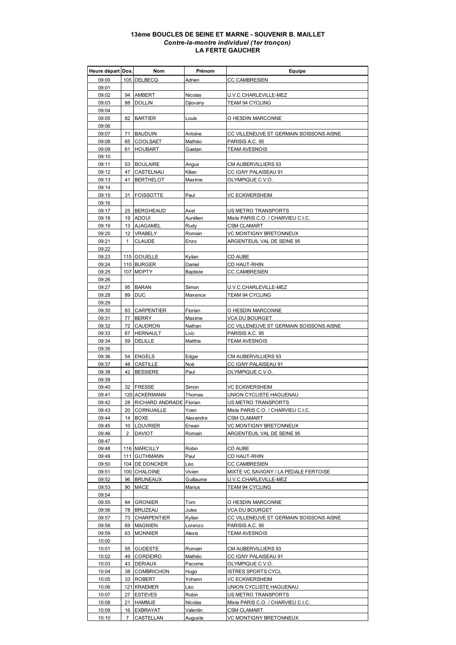## **13ème BOUCLES DE SEINE ET MARNE - SOUVENIR B. MAILLET** *Contre-la-montre individuel (1er tronçon)* **LA FERTE GAUCHER**

| Heure départ Dos. |                | <b>Nom</b>                 | Prénom          | Equipe                                  |
|-------------------|----------------|----------------------------|-----------------|-----------------------------------------|
| 09:00             |                | 105 DELBECQ                | Adrien          | <b>CC CAMBRESIEN</b>                    |
| 09:01             |                |                            |                 |                                         |
| 09:02             | 94             | AMBERT                     | Nicolas         | U.V.C.CHARLEVILLE-MEZ                   |
| 09:03             | 88             | <b>DOLLIN</b>              | Djiovany        | TEAM 94 CYCLING                         |
| 09:04             |                |                            |                 |                                         |
| 09:05             | 82             | <b>BARTIER</b>             | Louis           | O HESDIN MARCONNE                       |
| 09:06             |                |                            |                 |                                         |
| 09:07             | 71             | <b>BAUDUIN</b>             | Antoine         | CC VILLENEUVE ST GERMAIN SOISSONS AISNE |
| 09:08             |                | 65 COOLSAET                | Mathéo          | PARISIS A.C. 95                         |
| 09:09             | 61             | <b>HOUBART</b>             | Gaetan          | <b>TEAM AVESNOIS</b>                    |
| 09:10             |                |                            |                 |                                         |
|                   |                |                            |                 | CM AUBERVILLIERS 93                     |
| 09:11             |                | 53 BOULAIRE                | Angus           |                                         |
| 09:12             | 47             | CASTELNAU                  | Kilian          | CC IGNY PALAISEAU 91                    |
| 09:13             | 41             | <b>BERTHELOT</b>           | Maxime          | OLYMPIQUE C.V.O.                        |
| 09:14             |                |                            |                 |                                         |
| 09:15             | 31             | <b>FOISSOTTE</b>           | Paul            | VC ECKWERSHEIM                          |
| 09:16             |                |                            |                 |                                         |
| 09:17             |                | 25 BERGHEAUD               | Axel            | US METRO TRANSPORTS                     |
| 09:18             |                | 19 ADOUI                   | Aurélien        | Mixte PARIS C.O. / CHARVIEU C.I.C.      |
| 09:19             |                | 13 AJAGAMEL                | Rudy            | <b>CSM CLAMART</b>                      |
| 09:20             |                | 12 VRABELY                 | Romain          | VC MONTIGNY BRETONNEUX                  |
| 09:21             | $\mathbf{1}$   | <b>CLAUDE</b>              | Enzo            | ARGENTEUIL VAL DE SEINE 95              |
| 09:22             |                |                            |                 |                                         |
| 09:23             |                | 115 GOUELLE                | Kylian          | <b>CD AUBE</b>                          |
| 09:24             |                | 110 BURGER                 | Daniel          | <b>CD HAUT-RHIN</b>                     |
| 09:25             |                | 107 MOPTY                  | <b>Baptiste</b> | <b>CC CAMBRESIEN</b>                    |
| 09:26             |                |                            |                 |                                         |
| 09:27             | 95             | <b>BARAN</b>               | Simon           | U.V.C.CHARLEVILLE-MEZ                   |
| 09:28             | 89             | <b>DUC</b>                 | Maxence         | TEAM 94 CYCLING                         |
| 09:29             |                |                            |                 |                                         |
| 09:30             | 83             | <b>CARPENTIER</b>          | Florian         | O HESDIN MARCONNE                       |
| 09:31             | 77             | <b>BERRY</b>               | Maxime          | VCA DU BOURGET                          |
| 09:32             | 72             | <b>CAUDRON</b>             | Nathan          | CC VILLENEUVE ST GERMAIN SOISSONS AISNE |
| 09:33             | 67             | <b>HERNAULT</b>            | Loïc            | PARISIS A.C. 95                         |
| 09:34             | 59             | <b>DELILLE</b>             | Matthis         | <b>TEAM AVESNOIS</b>                    |
| 09:35             |                |                            |                 |                                         |
| 09:36             | 54             | <b>ENGELS</b>              | Edgar           | CM AUBERVILLIERS 93                     |
| 09:37             |                | 48 CASTILLE                | Noé             | CC IGNY PALAISEAU 91                    |
| 09:38             | 42             | <b>BESSIERE</b>            | Paul            | OLYMPIQUE C.V.O.                        |
| 09:39             |                |                            |                 |                                         |
| 09:40             |                | 32 FRESSE                  | Simon           | VC ECKWERSHEIM                          |
| 09:41             |                | 120 ACKERMANN              | Thomas          | UNION CYCLISTE HAGUENAU                 |
| 09:42             |                | 28 RICHARD ANDRADE Florian |                 | US METRO TRANSPORTS                     |
| 09:43             |                | 20 CORNUAILLE              | Yoen            | Mixte PARIS C.O. / CHARVIEU C.I.C.      |
| 09:44             |                | 14 BOXE                    | Alexandre       | CSM CLAMART                             |
| 09:45             |                | 10 LOUVRIER                | Erwan           | VC MONTIGNY BRETONNEUX                  |
| 09:46             | 2              | <b>DAVIOT</b>              | Romain          | ARGENTEUIL VAL DE SEINE 95              |
| 09:47             |                |                            |                 |                                         |
| 09:48             |                | 116 MARCILLY               | Robin           | CD AUBE                                 |
| 09:49             |                | 111 GUTHMANN               | Paul            | CD HAUT-RHIN                            |
| 09:50             |                | 104 DE DONCKER             | Léo             | <b>CC CAMBRESIEN</b>                    |
| 09:51             |                | 100 CHALOINE               | Vivien          | MIXTE VC SAVIGNY / LA PÉDALE FERTOISE   |
| 09:52             | 96             | <b>BRUNEAUX</b>            | Guillaume       | U.V.C.CHARLEVILLE-MEZ                   |
| 09:53             | 90             | <b>MACE</b>                | Marius          | TEAM 94 CYCLING                         |
| 09:54             |                |                            |                 |                                         |
| 09:55             | 84             | <b>GRONIER</b>             | Tom             | O HESDIN MARCONNE                       |
| 09:56             |                | 78 BRUZEAU                 | Jules           | VCA DU BOURGET                          |
| 09:57             | 73             | <b>CHARPENTIER</b>         | Kylian          | CC VILLENEUVE ST GERMAIN SOISSONS AISNE |
| 09:58             | 69             | <b>MAGNIEN</b>             | Lorenzo         | PARISIS A.C. 95                         |
| 09:59             | 63             | <b>MONNIER</b>             | Alexis          | TEAM AVESNOIS                           |
| 10:00             |                |                            |                 |                                         |
| 10:01             | 55             | <b>GUDESTE</b>             | Romain          | CM AUBERVILLIERS 93                     |
| 10:02             | 49             | <b>CORDEIRO</b>            | Mathéo          | CC IGNY PALAISEAU 91                    |
| 10:03             | 43             | <b>DERIAUX</b>             | Pacome          | OLYMPIQUE C.V.O.                        |
| 10:04             | 38             | <b>COMBRICHON</b>          | Hugo            | <b>ISTRES SPORTS CYCL</b>               |
| 10:05             |                | 33 ROBERT                  | Yohann          | VC ECKWERSHEIM                          |
| 10:06             |                | 121 KRAEMER                | Léo             | UNION CYCLISTE HAGUENAU                 |
| 10:07             | 27             | <b>ESTEVES</b>             | Robin           | US METRO TRANSPORTS                     |
| 10:08             |                | 21 HAMMJE                  | Nicolas         | Mixte PARIS C.O. / CHARVIEU C.I.C.      |
|                   |                |                            |                 |                                         |
| 10:09             |                | 16 EXBRAYAT                | Valentin        | CSM CLAMART                             |
| 10:10             | $\overline{7}$ | CASTELLAN                  | Auguste         | VC MONTIGNY BRETONNEUX                  |